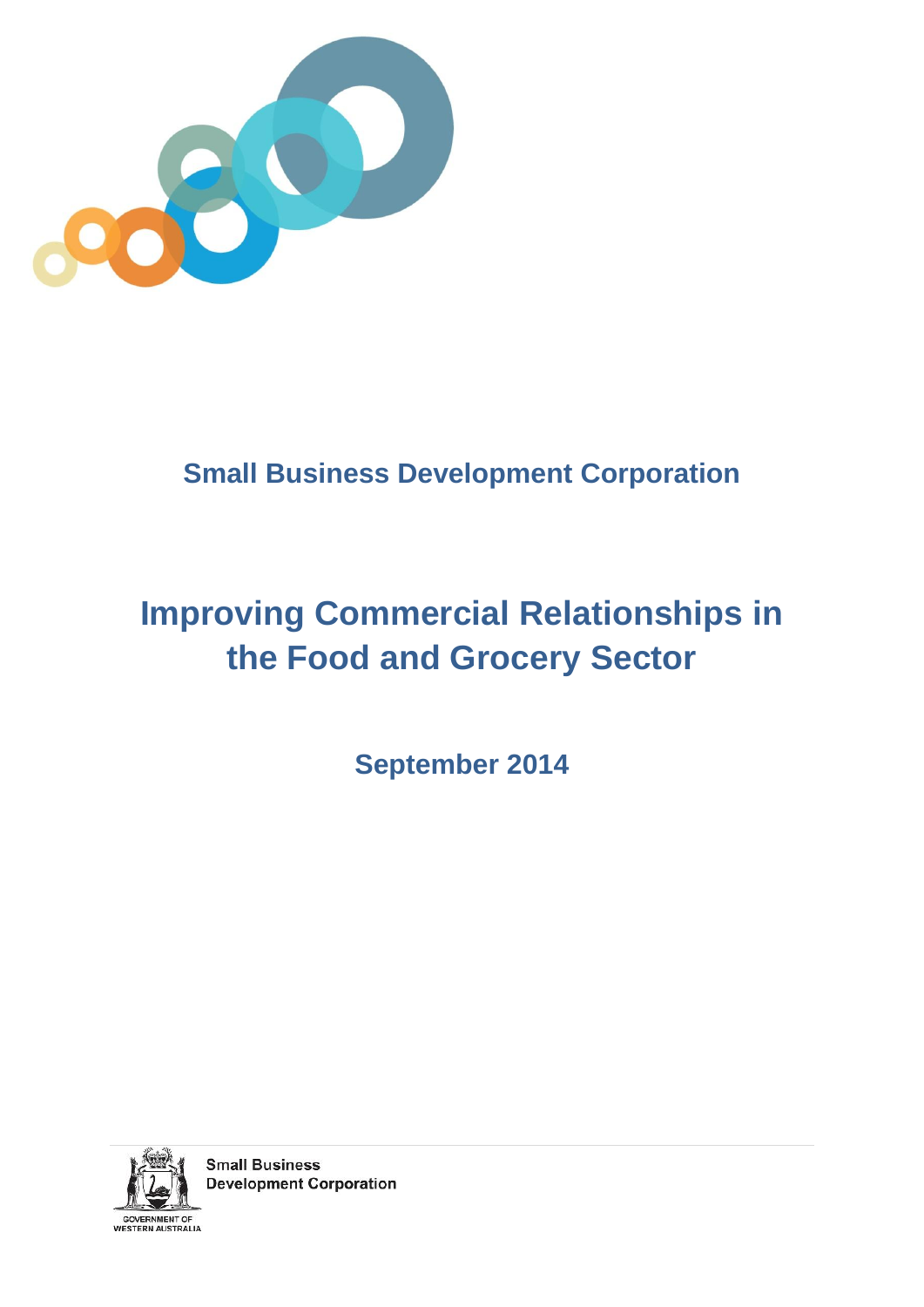

## **Small Business Development Corporation**

# **Improving Commercial Relationships in the Food and Grocery Sector**

**September 2014** 



**Small Business Development Corporation**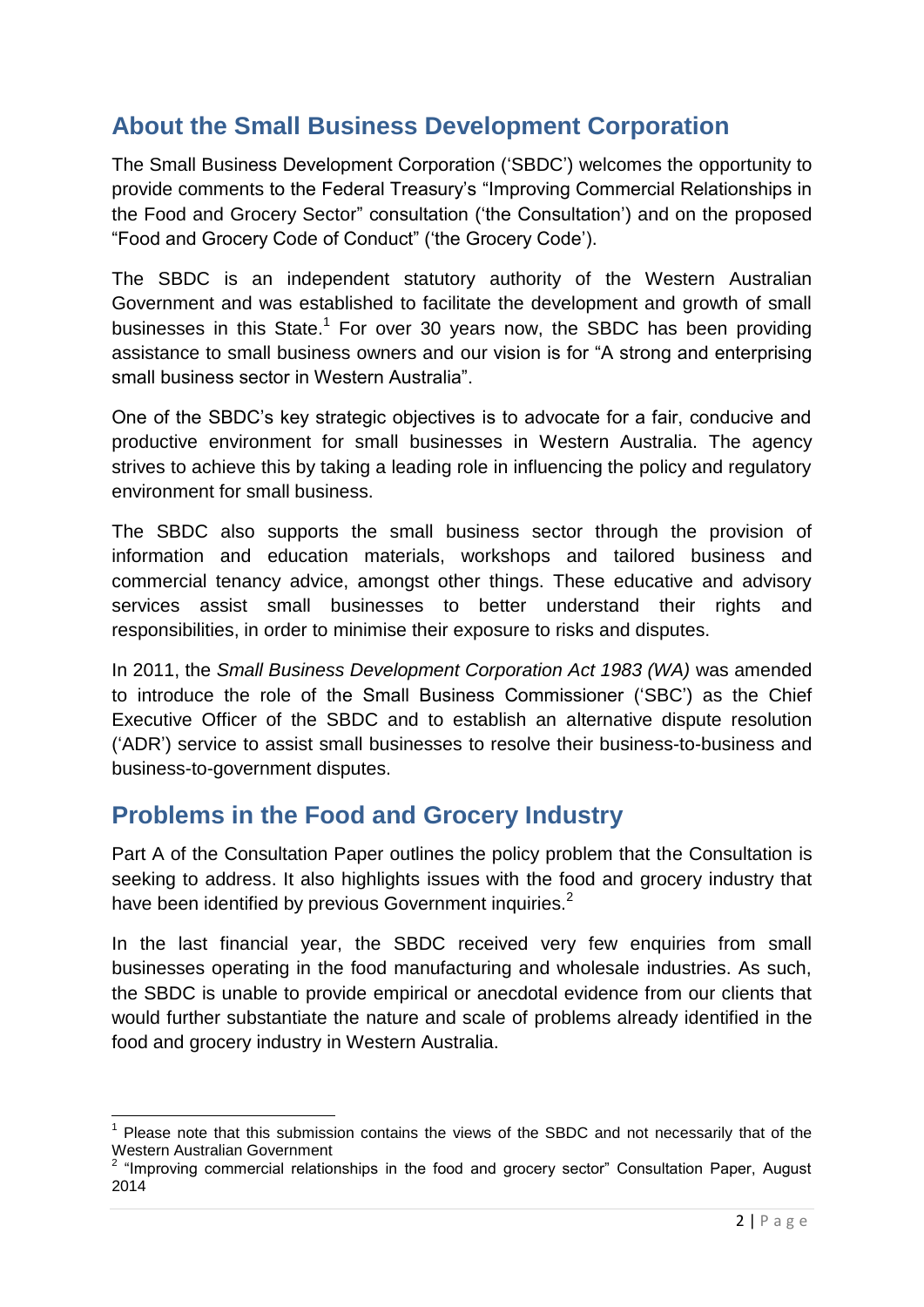## **About the Small Business Development Corporation**

The Small Business Development Corporation ('SBDC') welcomes the opportunity to provide comments to the Federal Treasury's "Improving Commercial Relationships in the Food and Grocery Sector" consultation ('the Consultation') and on the proposed "Food and Grocery Code of Conduct" ('the Grocery Code').

The SBDC is an independent statutory authority of the Western Australian Government and was established to facilitate the development and growth of small businesses in this State.<sup>1</sup> For over 30 years now, the SBDC has been providing assistance to small business owners and our vision is for "A strong and enterprising small business sector in Western Australia".

One of the SBDC's key strategic objectives is to advocate for a fair, conducive and productive environment for small businesses in Western Australia. The agency strives to achieve this by taking a leading role in influencing the policy and regulatory environment for small business.

The SBDC also supports the small business sector through the provision of information and education materials, workshops and tailored business and commercial tenancy advice, amongst other things. These educative and advisory services assist small businesses to better understand their rights and responsibilities, in order to minimise their exposure to risks and disputes.

In 2011, the *Small Business Development Corporation Act 1983 (WA)* was amended to introduce the role of the Small Business Commissioner ('SBC') as the Chief Executive Officer of the SBDC and to establish an alternative dispute resolution ('ADR') service to assist small businesses to resolve their business-to-business and business-to-government disputes.

### **Problems in the Food and Grocery Industry**

**.** 

Part A of the Consultation Paper outlines the policy problem that the Consultation is seeking to address. It also highlights issues with the food and grocery industry that have been identified by previous Government inquiries.<sup>2</sup>

In the last financial year, the SBDC received very few enquiries from small businesses operating in the food manufacturing and wholesale industries. As such, the SBDC is unable to provide empirical or anecdotal evidence from our clients that would further substantiate the nature and scale of problems already identified in the food and grocery industry in Western Australia.

<sup>&</sup>lt;sup>1</sup> Please note that this submission contains the views of the SBDC and not necessarily that of the Western Australian Government

 $2$  "Improving commercial relationships in the food and grocery sector" Consultation Paper, August 2014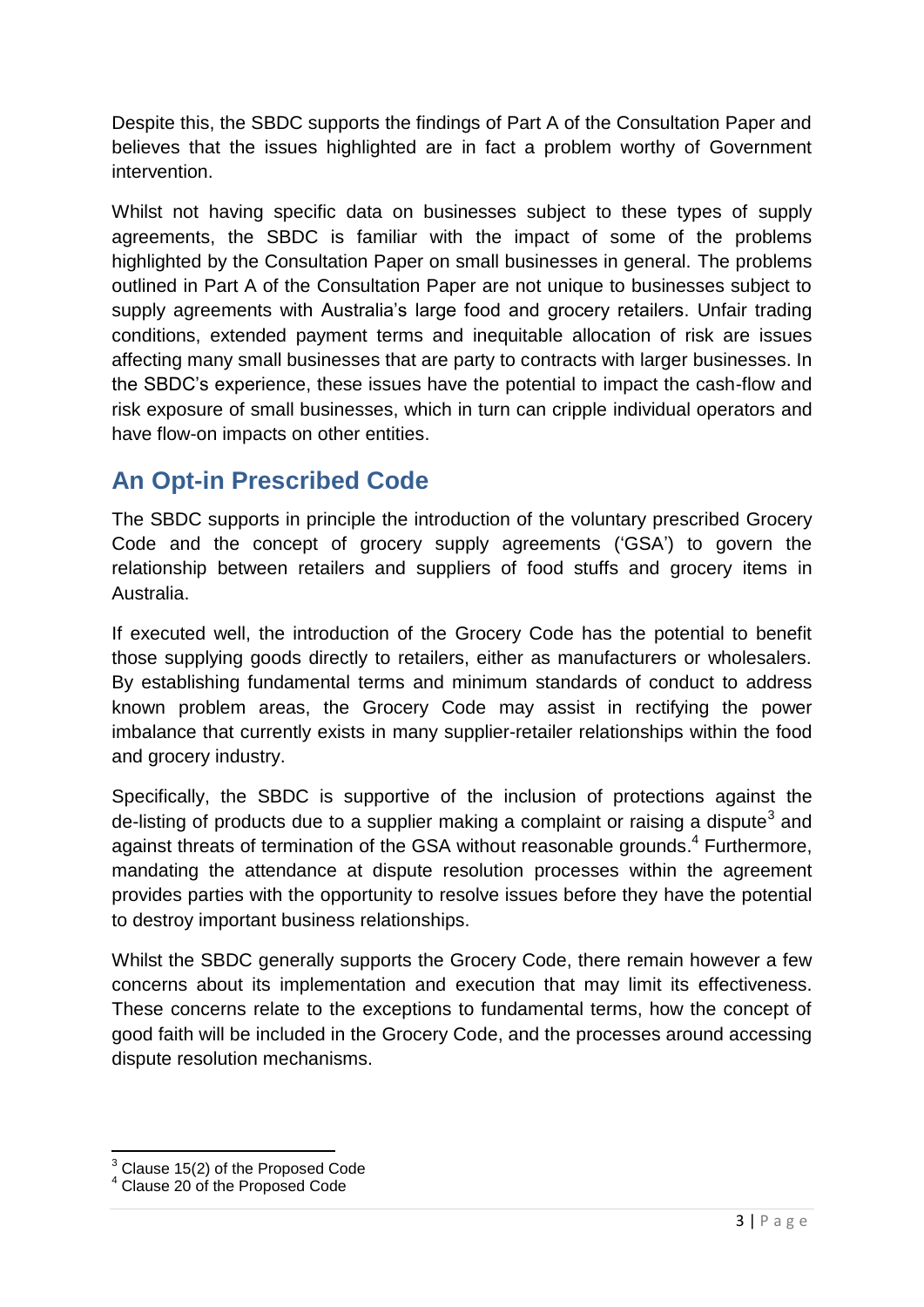Despite this, the SBDC supports the findings of Part A of the Consultation Paper and believes that the issues highlighted are in fact a problem worthy of Government intervention.

Whilst not having specific data on businesses subject to these types of supply agreements, the SBDC is familiar with the impact of some of the problems highlighted by the Consultation Paper on small businesses in general. The problems outlined in Part A of the Consultation Paper are not unique to businesses subject to supply agreements with Australia's large food and grocery retailers. Unfair trading conditions, extended payment terms and inequitable allocation of risk are issues affecting many small businesses that are party to contracts with larger businesses. In the SBDC's experience, these issues have the potential to impact the cash-flow and risk exposure of small businesses, which in turn can cripple individual operators and have flow-on impacts on other entities.

## **An Opt-in Prescribed Code**

The SBDC supports in principle the introduction of the voluntary prescribed Grocery Code and the concept of grocery supply agreements ('GSA') to govern the relationship between retailers and suppliers of food stuffs and grocery items in Australia.

If executed well, the introduction of the Grocery Code has the potential to benefit those supplying goods directly to retailers, either as manufacturers or wholesalers. By establishing fundamental terms and minimum standards of conduct to address known problem areas, the Grocery Code may assist in rectifying the power imbalance that currently exists in many supplier-retailer relationships within the food and grocery industry.

Specifically, the SBDC is supportive of the inclusion of protections against the de-listing of products due to a supplier making a complaint or raising a dispute<sup>3</sup> and against threats of termination of the GSA without reasonable grounds.<sup>4</sup> Furthermore, mandating the attendance at dispute resolution processes within the agreement provides parties with the opportunity to resolve issues before they have the potential to destroy important business relationships.

Whilst the SBDC generally supports the Grocery Code, there remain however a few concerns about its implementation and execution that may limit its effectiveness. These concerns relate to the exceptions to fundamental terms, how the concept of good faith will be included in the Grocery Code, and the processes around accessing dispute resolution mechanisms.

**<sup>.</sup>**  $3$  Clause 15(2) of the Proposed Code

<sup>4</sup> Clause 20 of the Proposed Code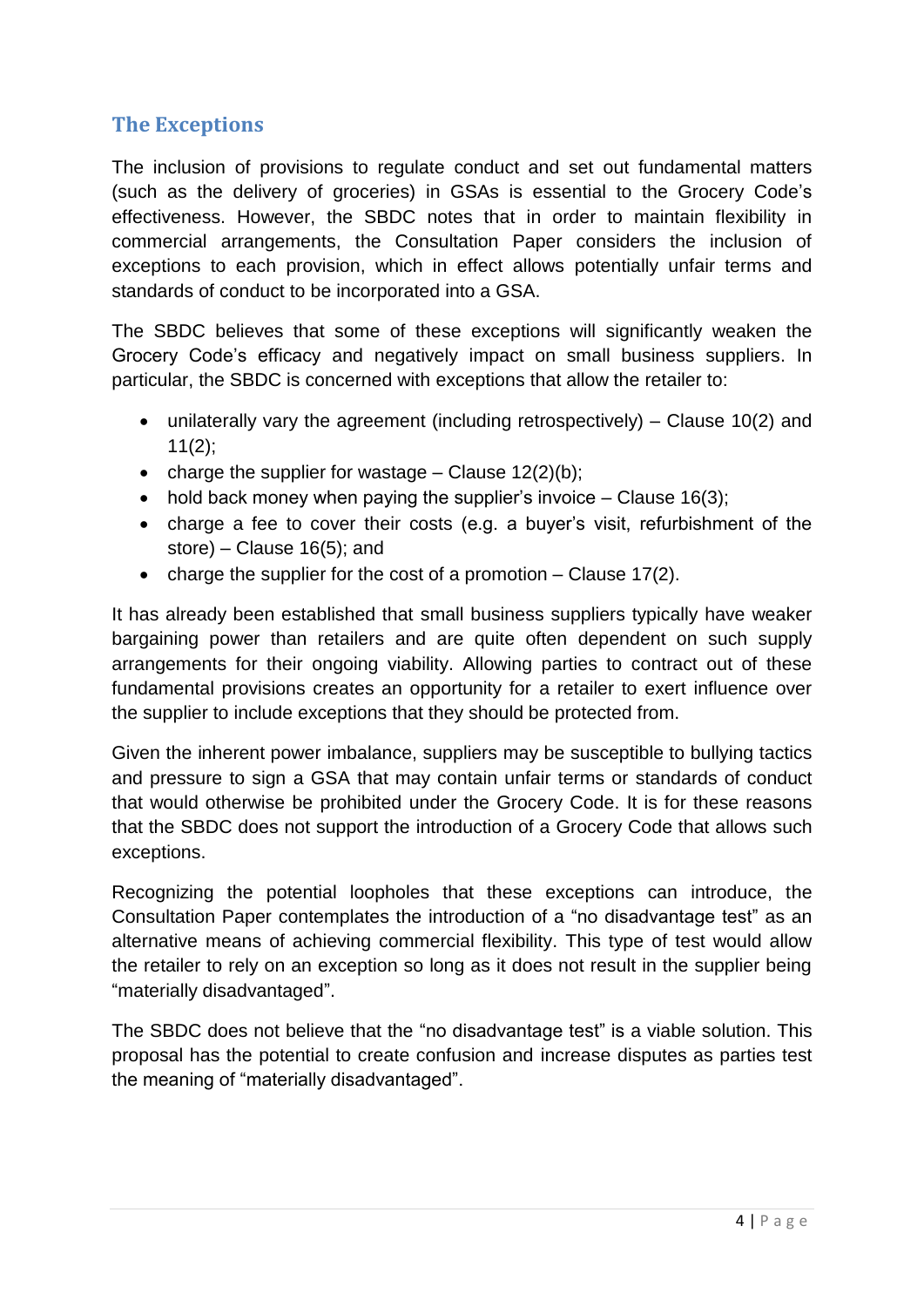#### **The Exceptions**

The inclusion of provisions to regulate conduct and set out fundamental matters (such as the delivery of groceries) in GSAs is essential to the Grocery Code's effectiveness. However, the SBDC notes that in order to maintain flexibility in commercial arrangements, the Consultation Paper considers the inclusion of exceptions to each provision, which in effect allows potentially unfair terms and standards of conduct to be incorporated into a GSA.

The SBDC believes that some of these exceptions will significantly weaken the Grocery Code's efficacy and negatively impact on small business suppliers. In particular, the SBDC is concerned with exceptions that allow the retailer to:

- unilaterally vary the agreement (including retrospectively) Clause 10(2) and  $11(2)$ ;
- charge the supplier for wastage Clause  $12(2)(b)$ ;
- hold back money when paying the supplier's invoice  $-$  Clause 16(3);
- charge a fee to cover their costs (e.g. a buyer's visit, refurbishment of the store) – Clause 16(5); and
- charge the supplier for the cost of a promotion  $-$  Clause 17(2).

It has already been established that small business suppliers typically have weaker bargaining power than retailers and are quite often dependent on such supply arrangements for their ongoing viability. Allowing parties to contract out of these fundamental provisions creates an opportunity for a retailer to exert influence over the supplier to include exceptions that they should be protected from.

Given the inherent power imbalance, suppliers may be susceptible to bullying tactics and pressure to sign a GSA that may contain unfair terms or standards of conduct that would otherwise be prohibited under the Grocery Code. It is for these reasons that the SBDC does not support the introduction of a Grocery Code that allows such exceptions.

Recognizing the potential loopholes that these exceptions can introduce, the Consultation Paper contemplates the introduction of a "no disadvantage test" as an alternative means of achieving commercial flexibility. This type of test would allow the retailer to rely on an exception so long as it does not result in the supplier being "materially disadvantaged".

The SBDC does not believe that the "no disadvantage test" is a viable solution. This proposal has the potential to create confusion and increase disputes as parties test the meaning of "materially disadvantaged".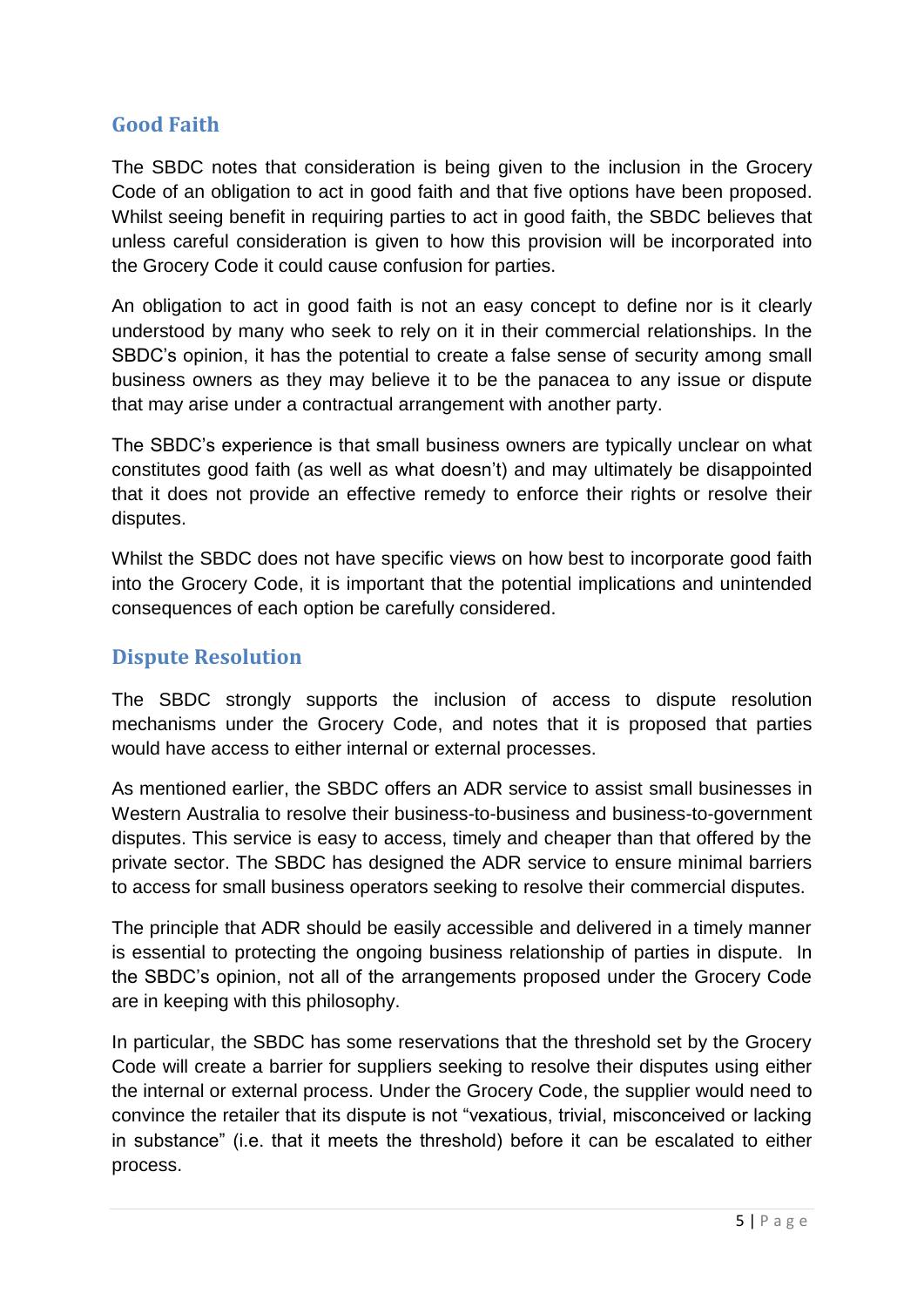#### **Good Faith**

The SBDC notes that consideration is being given to the inclusion in the Grocery Code of an obligation to act in good faith and that five options have been proposed. Whilst seeing benefit in requiring parties to act in good faith, the SBDC believes that unless careful consideration is given to how this provision will be incorporated into the Grocery Code it could cause confusion for parties.

An obligation to act in good faith is not an easy concept to define nor is it clearly understood by many who seek to rely on it in their commercial relationships. In the SBDC's opinion, it has the potential to create a false sense of security among small business owners as they may believe it to be the panacea to any issue or dispute that may arise under a contractual arrangement with another party.

The SBDC's experience is that small business owners are typically unclear on what constitutes good faith (as well as what doesn't) and may ultimately be disappointed that it does not provide an effective remedy to enforce their rights or resolve their disputes.

Whilst the SBDC does not have specific views on how best to incorporate good faith into the Grocery Code, it is important that the potential implications and unintended consequences of each option be carefully considered.

#### **Dispute Resolution**

The SBDC strongly supports the inclusion of access to dispute resolution mechanisms under the Grocery Code, and notes that it is proposed that parties would have access to either internal or external processes.

As mentioned earlier, the SBDC offers an ADR service to assist small businesses in Western Australia to resolve their business-to-business and business-to-government disputes. This service is easy to access, timely and cheaper than that offered by the private sector. The SBDC has designed the ADR service to ensure minimal barriers to access for small business operators seeking to resolve their commercial disputes.

The principle that ADR should be easily accessible and delivered in a timely manner is essential to protecting the ongoing business relationship of parties in dispute. In the SBDC's opinion, not all of the arrangements proposed under the Grocery Code are in keeping with this philosophy.

In particular, the SBDC has some reservations that the threshold set by the Grocery Code will create a barrier for suppliers seeking to resolve their disputes using either the internal or external process. Under the Grocery Code, the supplier would need to convince the retailer that its dispute is not "vexatious, trivial, misconceived or lacking in substance" (i.e. that it meets the threshold) before it can be escalated to either process.